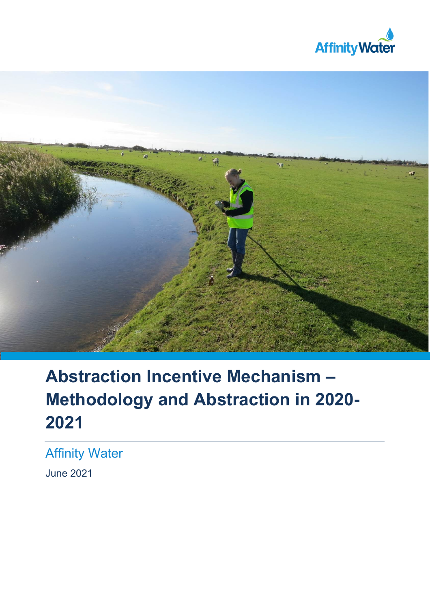



## **Abstraction Incentive Mechanism – Methodology and Abstraction in 2020- 2021**

Affinity Water

June 2021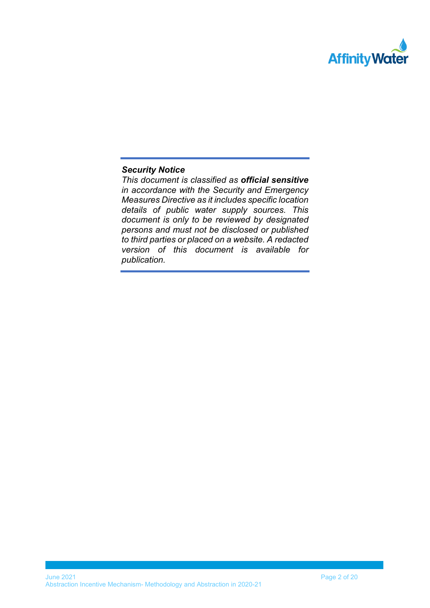

#### *Security Notice*

*This document is classified as official sensitive in accordance with the Security and Emergency Measures Directive as it includes specific location details of public water supply sources. This document is only to be reviewed by designated persons and must not be disclosed or published to third parties or placed on a website. A redacted version of this document is available for publication.*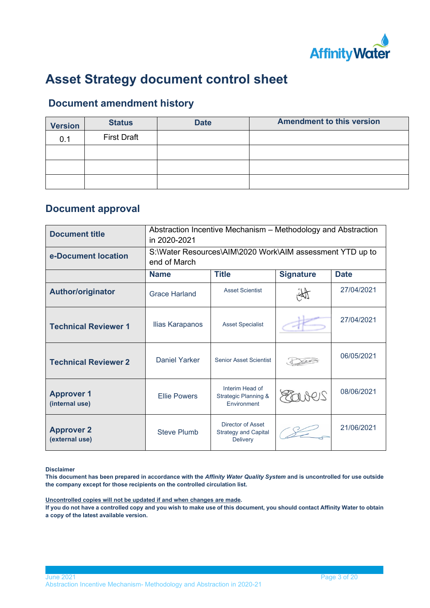

### **Asset Strategy document control sheet**

### **Document amendment history**

| <b>Version</b> | <b>Status</b>      | <b>Date</b> | <b>Amendment to this version</b> |
|----------------|--------------------|-------------|----------------------------------|
| 0.1            | <b>First Draft</b> |             |                                  |
|                |                    |             |                                  |
|                |                    |             |                                  |
|                |                    |             |                                  |

#### **Document approval**

| <b>Document title</b>               | Abstraction Incentive Mechanism – Methodology and Abstraction<br>in 2020-2021 |                                                                   |                  |             |  |  |
|-------------------------------------|-------------------------------------------------------------------------------|-------------------------------------------------------------------|------------------|-------------|--|--|
| e-Document location                 | S:\Water Resources\AIM\2020 Work\AIM assessment YTD up to<br>end of March     |                                                                   |                  |             |  |  |
|                                     | <b>Name</b>                                                                   | <b>Title</b>                                                      | <b>Signature</b> | <b>Date</b> |  |  |
| <b>Author/originator</b>            | <b>Grace Harland</b>                                                          | <b>Asset Scientist</b>                                            |                  | 27/04/2021  |  |  |
| <b>Technical Reviewer 1</b>         | Ilias Karapanos                                                               | <b>Asset Specialist</b>                                           |                  | 27/04/2021  |  |  |
| <b>Technical Reviewer 2</b>         | <b>Daniel Yarker</b>                                                          | <b>Senior Asset Scientist</b>                                     |                  | 06/05/2021  |  |  |
| <b>Approver 1</b><br>(internal use) | <b>Ellie Powers</b>                                                           | Interim Head of<br><b>Strategic Planning &amp;</b><br>Environment | 2Q               | 08/06/2021  |  |  |
| <b>Approver 2</b><br>(external use) | <b>Steve Plumb</b>                                                            | Director of Asset<br><b>Strategy and Capital</b><br>Delivery      |                  | 21/06/2021  |  |  |

#### **Disclaimer**

**This document has been prepared in accordance with the** *Affinity Water Quality System* **and is uncontrolled for use outside the company except for those recipients on the controlled circulation list.** 

**Uncontrolled copies will not be updated if and when changes are made.**

**If you do not have a controlled copy and you wish to make use of this document, you should contact Affinity Water to obtain a copy of the latest available version.**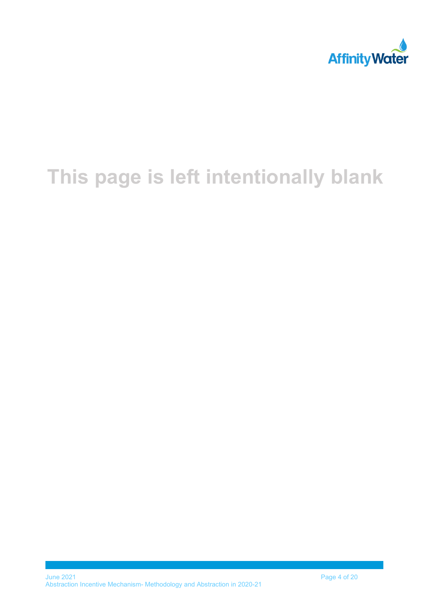

# **This page is left intentionally blank**

June 2021 **Page 4 of 20** Abstraction Incentive Mechanism- Methodology and Abstraction in 2020-21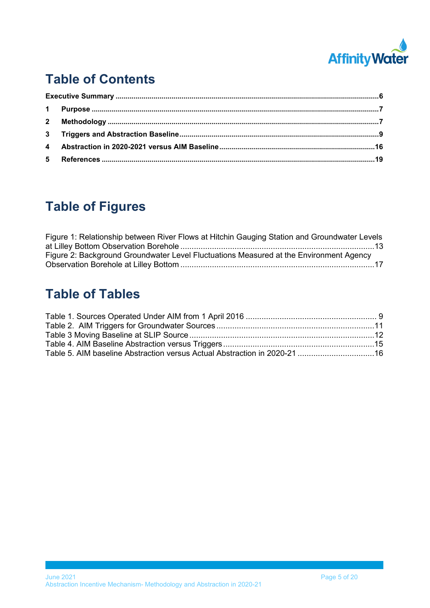

### **Table of Contents**

### **Table of Figures**

| Figure 1: Relationship between River Flows at Hitchin Gauging Station and Groundwater Levels |  |
|----------------------------------------------------------------------------------------------|--|
|                                                                                              |  |
| Figure 2: Background Groundwater Level Fluctuations Measured at the Environment Agency       |  |
|                                                                                              |  |

### **Table of Tables**

| Table 5. AIM baseline Abstraction versus Actual Abstraction in 2020-21 16 |  |
|---------------------------------------------------------------------------|--|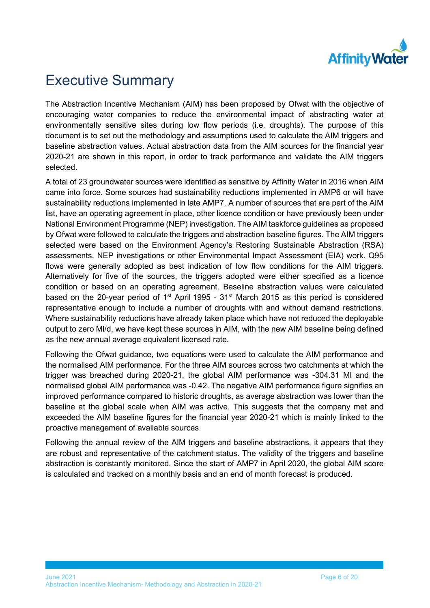

### <span id="page-5-0"></span>Executive Summary

The Abstraction Incentive Mechanism (AIM) has been proposed by Ofwat with the objective of encouraging water companies to reduce the environmental impact of abstracting water at environmentally sensitive sites during low flow periods (i.e. droughts). The purpose of this document is to set out the methodology and assumptions used to calculate the AIM triggers and baseline abstraction values. Actual abstraction data from the AIM sources for the financial year 2020-21 are shown in this report, in order to track performance and validate the AIM triggers selected.

A total of 23 groundwater sources were identified as sensitive by Affinity Water in 2016 when AIM came into force. Some sources had sustainability reductions implemented in AMP6 or will have sustainability reductions implemented in late AMP7. A number of sources that are part of the AIM list, have an operating agreement in place, other licence condition or have previously been under National Environment Programme (NEP) investigation. The AIM taskforce guidelines as proposed by Ofwat were followed to calculate the triggers and abstraction baseline figures. The AIM triggers selected were based on the Environment Agency's Restoring Sustainable Abstraction (RSA) assessments, NEP investigations or other Environmental Impact Assessment (EIA) work. Q95 flows were generally adopted as best indication of low flow conditions for the AIM triggers. Alternatively for five of the sources, the triggers adopted were either specified as a licence condition or based on an operating agreement. Baseline abstraction values were calculated based on the 20-year period of  $1<sup>st</sup>$  April 1995 - 31<sup>st</sup> March 2015 as this period is considered representative enough to include a number of droughts with and without demand restrictions. Where sustainability reductions have already taken place which have not reduced the deployable output to zero Ml/d, we have kept these sources in AIM, with the new AIM baseline being defined as the new annual average equivalent licensed rate.

Following the Ofwat guidance, two equations were used to calculate the AIM performance and the normalised AIM performance. For the three AIM sources across two catchments at which the trigger was breached during 2020-21, the global AIM performance was -304.31 Ml and the normalised global AIM performance was -0.42. The negative AIM performance figure signifies an improved performance compared to historic droughts, as average abstraction was lower than the baseline at the global scale when AIM was active. This suggests that the company met and exceeded the AIM baseline figures for the financial year 2020-21 which is mainly linked to the proactive management of available sources.

Following the annual review of the AIM triggers and baseline abstractions, it appears that they are robust and representative of the catchment status. The validity of the triggers and baseline abstraction is constantly monitored. Since the start of AMP7 in April 2020, the global AIM score is calculated and tracked on a monthly basis and an end of month forecast is produced.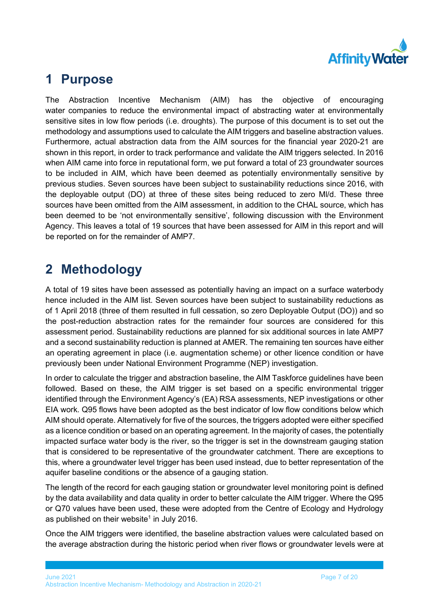

### <span id="page-6-0"></span>**1 Purpose**

The Abstraction Incentive Mechanism (AIM) has the objective of encouraging water companies to reduce the environmental impact of abstracting water at environmentally sensitive sites in low flow periods (i.e. droughts). The purpose of this document is to set out the methodology and assumptions used to calculate the AIM triggers and baseline abstraction values. Furthermore, actual abstraction data from the AIM sources for the financial year 2020-21 are shown in this report, in order to track performance and validate the AIM triggers selected. In 2016 when AIM came into force in reputational form, we put forward a total of 23 groundwater sources to be included in AIM, which have been deemed as potentially environmentally sensitive by previous studies. Seven sources have been subject to sustainability reductions since 2016, with the deployable output (DO) at three of these sites being reduced to zero Ml/d. These three sources have been omitted from the AIM assessment, in addition to the CHAL source, which has been deemed to be 'not environmentally sensitive', following discussion with the Environment Agency. This leaves a total of 19 sources that have been assessed for AIM in this report and will be reported on for the remainder of AMP7.

### <span id="page-6-1"></span>**2 Methodology**

A total of 19 sites have been assessed as potentially having an impact on a surface waterbody hence included in the AIM list. Seven sources have been subject to sustainability reductions as of 1 April 2018 (three of them resulted in full cessation, so zero Deployable Output (DO)) and so the post-reduction abstraction rates for the remainder four sources are considered for this assessment period. Sustainability reductions are planned for six additional sources in late AMP7 and a second sustainability reduction is planned at AMER. The remaining ten sources have either an operating agreement in place (i.e. augmentation scheme) or other licence condition or have previously been under National Environment Programme (NEP) investigation.

In order to calculate the trigger and abstraction baseline, the AIM Taskforce guidelines have been followed. Based on these, the AIM trigger is set based on a specific environmental trigger identified through the Environment Agency's (EA) RSA assessments, NEP investigations or other EIA work. Q95 flows have been adopted as the best indicator of low flow conditions below which AIM should operate. Alternatively for five of the sources, the triggers adopted were either specified as a licence condition or based on an operating agreement. In the majority of cases, the potentially impacted surface water body is the river, so the trigger is set in the downstream gauging station that is considered to be representative of the groundwater catchment. There are exceptions to this, where a groundwater level trigger has been used instead, due to better representation of the aquifer baseline conditions or the absence of a gauging station.

The length of the record for each gauging station or groundwater level monitoring point is defined by the data availability and data quality in order to better calculate the AIM trigger. Where the Q95 or Q70 values have been used, these were adopted from the Centre of Ecology and Hydrology as published on their website<sup>1</sup> in July 2016.

Once the AIM triggers were identified, the baseline abstraction values were calculated based on the average abstraction during the historic period when river flows or groundwater levels were at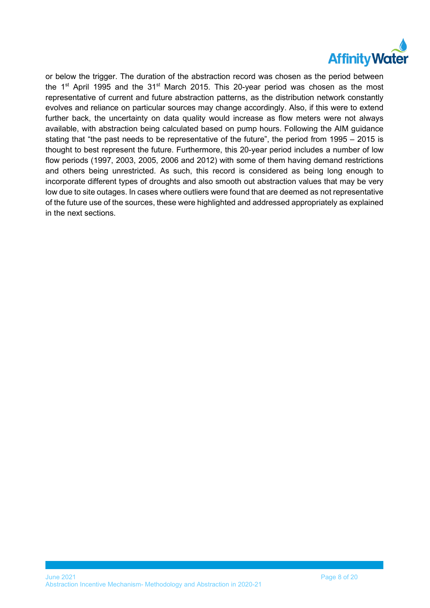

or below the trigger. The duration of the abstraction record was chosen as the period between the  $1<sup>st</sup>$  April 1995 and the  $31<sup>st</sup>$  March 2015. This 20-year period was chosen as the most representative of current and future abstraction patterns, as the distribution network constantly evolves and reliance on particular sources may change accordingly. Also, if this were to extend further back, the uncertainty on data quality would increase as flow meters were not always available, with abstraction being calculated based on pump hours. Following the AIM guidance stating that "the past needs to be representative of the future", the period from 1995 – 2015 is thought to best represent the future. Furthermore, this 20-year period includes a number of low flow periods (1997, 2003, 2005, 2006 and 2012) with some of them having demand restrictions and others being unrestricted. As such, this record is considered as being long enough to incorporate different types of droughts and also smooth out abstraction values that may be very low due to site outages. In cases where outliers were found that are deemed as not representative of the future use of the sources, these were highlighted and addressed appropriately as explained in the next sections.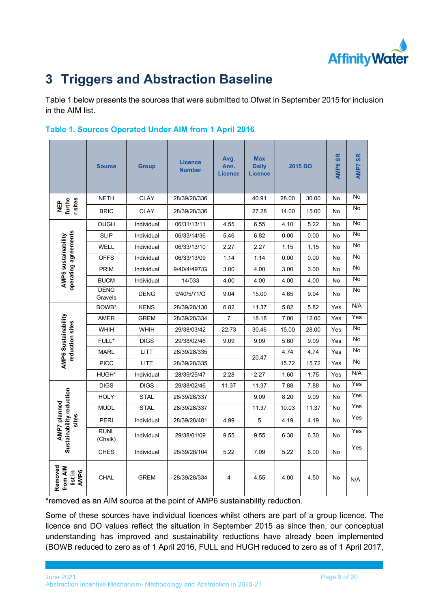

### <span id="page-8-0"></span>**3 Triggers and Abstraction Baseline**

[Table 1](#page-8-1) below presents the sources that were submitted to Ofwat in September 2015 for inclusion in the AIM list.

|                                               | <b>Source</b>          | <b>Group</b> | <b>Licence</b><br><b>Number</b> | Avg.<br>Ann.<br><b>Licence</b> | <b>Max</b><br><b>Daily</b><br><b>Licence</b> | 2015 DO |       | <b>AMP6 SR</b> | <b>AMP7 SR</b> |
|-----------------------------------------------|------------------------|--------------|---------------------------------|--------------------------------|----------------------------------------------|---------|-------|----------------|----------------|
|                                               | <b>NETH</b>            | <b>CLAY</b>  | 28/39/28/336                    |                                | 40.91                                        | 28.00   | 30.00 | No             | No             |
| furthe<br>r sites<br>임<br>기                   | <b>BRIC</b>            | <b>CLAY</b>  | 28/39/28/336                    |                                | 27.28                                        | 14.00   | 15.00 | No             | No             |
|                                               | OUGH                   | Individual   | 06/31/13/11                     | 4.55                           | 6.55                                         | 4.10    | 5.22  | No             | No             |
|                                               | <b>SLIP</b>            | Individual   | 06/33/14/36                     | 5.46                           | 6.82                                         | 0.00    | 0.00  | No             | No             |
|                                               | WELL                   | Individual   | 06/33/13/10                     | 2.27                           | 2.27                                         | 1.15    | 1.15  | No             | No             |
|                                               | OFFS                   | Individual   | 06/33/13/09                     | 1.14                           | 1.14                                         | 0.00    | 0.00  | No             | No             |
|                                               | PRIM                   | Individual   | 9/40/4/497/G                    | 3.00                           | 4.00                                         | 3.00    | 3.00  | No             | No             |
| operating agreements<br>AMP5 sustainability   | <b>BUCM</b>            | Individual   | 14/033                          | 4.00                           | 4.00                                         | 4.00    | 4.00  | No             | No             |
|                                               | <b>DENG</b><br>Gravels | <b>DENG</b>  | 9/40/5/71/G                     | 9.04                           | 15.00                                        | 4.65    | 9.04  | No             | No             |
|                                               | BOWB*                  | <b>KENS</b>  | 28/39/28/130                    | 6.82                           | 11.37                                        | 5.82    | 5.82  | Yes            | N/A            |
|                                               | <b>AMER</b>            | <b>GREM</b>  | 28/39/28/334                    | 7                              | 18.18                                        | 7.00    | 12.00 | Yes            | Yes            |
| <b>AMP6 Sustainability</b><br>reduction sites | <b>WHIH</b>            | WHIH         | 29/38/03/42                     | 22.73                          | 30.46                                        | 15.00   | 28.00 | Yes            | No             |
|                                               | FULL*                  | <b>DIGS</b>  | 29/38/02/46                     | 9.09                           | 9.09                                         | 5.60    | 9.09  | Yes            | No             |
|                                               | <b>MARL</b>            | LITT         | 28/39/28/335                    |                                | 20.47                                        | 4.74    | 4.74  | Yes            | <b>No</b>      |
|                                               | <b>PICC</b>            | LITT         | 28/39/28/335                    |                                |                                              | 15.72   | 15.72 | Yes            | No             |
|                                               | HUGH*                  | Individual   | 28/39/25/47                     | 2.27<br>2.28                   |                                              | 1.60    | 1.75  | Yes            | N/A            |
|                                               | <b>DIGS</b>            | <b>DIGS</b>  | 29/38/02/46                     | 11.37                          | 11.37                                        | 7.88    | 7.88  | No             | Yes            |
|                                               | <b>HOLY</b>            | <b>STAL</b>  | 28/39/28/337                    |                                | 9.09                                         | 8.20    | 9.09  | No             | Yes            |
|                                               | <b>MUDL</b>            | <b>STAL</b>  | 28/39/28/337                    |                                | 11.37                                        | 10.03   | 11.37 | No             | Yes            |
| sites                                         | PERI                   | Individual   | 28/39/28/401                    | 4.99                           | 5                                            | 4.19    | 4.19  | No             | Yes            |
| Sustainability reduction<br>AMP7 planned      | <b>RUNL</b><br>(Chalk) | Individual   | 29/38/01/09                     | 9.55                           | 9.55                                         | 6.30    | 6.30  | No             | Yes            |
|                                               | <b>CHES</b>            | Individual   | 28/39/28/104                    | 5.22                           | 7.09                                         | 5.22    | 6.00  | No             | Yes            |
| Removed<br>from AIM<br><b>AMP6</b><br>list in | CHAL                   | <b>GREM</b>  | 28/39/28/334                    | 4                              | 4.55                                         | 4.00    | 4.50  | No             | N/A            |

#### <span id="page-8-1"></span>**Table 1. Sources Operated Under AIM from 1 April 2016**

\*removed as an AIM source at the point of AMP6 sustainability reduction.

Some of these sources have individual licences whilst others are part of a group licence. The licence and DO values reflect the situation in September 2015 as since then, our conceptual understanding has improved and sustainability reductions have already been implemented (BOWB reduced to zero as of 1 April 2016, FULL and HUGH reduced to zero as of 1 April 2017,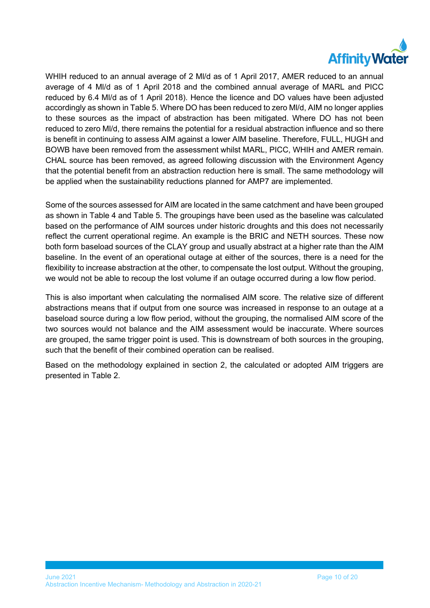

WHIH reduced to an annual average of 2 Ml/d as of 1 April 2017, AMER reduced to an annual average of 4 Ml/d as of 1 April 2018 and the combined annual average of MARL and PICC reduced by 6.4 Ml/d as of 1 April 2018). Hence the licence and DO values have been adjusted accordingly as shown in [Table 5.](#page-15-1) Where DO has been reduced to zero Ml/d, AIM no longer applies to these sources as the impact of abstraction has been mitigated. Where DO has not been reduced to zero Ml/d, there remains the potential for a residual abstraction influence and so there is benefit in continuing to assess AIM against a lower AIM baseline. Therefore, FULL, HUGH and BOWB have been removed from the assessment whilst MARL, PICC, WHIH and AMER remain. CHAL source has been removed, as agreed following discussion with the Environment Agency that the potential benefit from an abstraction reduction here is small. The same methodology will be applied when the sustainability reductions planned for AMP7 are implemented.

Some of the sources assessed for AIM are located in the same catchment and have been grouped as shown in [Table 4](#page-14-0) and [Table 5.](#page-15-1) The groupings have been used as the baseline was calculated based on the performance of AIM sources under historic droughts and this does not necessarily reflect the current operational regime. An example is the BRIC and NETH sources. These now both form baseload sources of the CLAY group and usually abstract at a higher rate than the AIM baseline. In the event of an operational outage at either of the sources, there is a need for the flexibility to increase abstraction at the other, to compensate the lost output. Without the grouping, we would not be able to recoup the lost volume if an outage occurred during a low flow period.

This is also important when calculating the normalised AIM score. The relative size of different abstractions means that if output from one source was increased in response to an outage at a baseload source during a low flow period, without the grouping, the normalised AIM score of the two sources would not balance and the AIM assessment would be inaccurate. Where sources are grouped, the same trigger point is used. This is downstream of both sources in the grouping, such that the benefit of their combined operation can be realised.

Based on the methodology explained in section 2, the calculated or adopted AIM triggers are presented in [Table 2.](#page-10-0)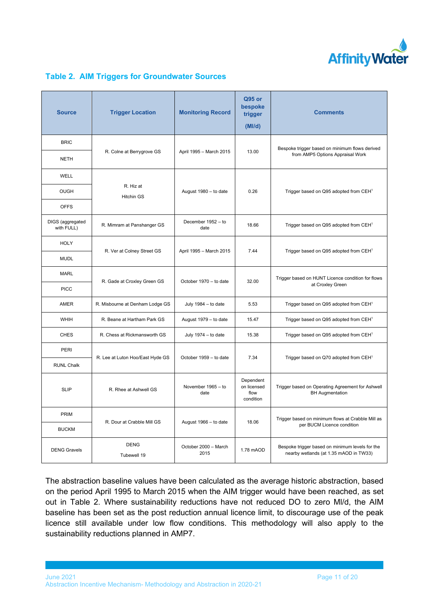

#### <span id="page-10-0"></span>**Table 2. AIM Triggers for Groundwater Sources**

| <b>Source</b>                  | <b>Trigger Location</b>          | <b>Monitoring Record</b>     | Q95 or<br>bespoke<br>trigger<br>(MI/d)        | <b>Comments</b>                                                                           |  |  |
|--------------------------------|----------------------------------|------------------------------|-----------------------------------------------|-------------------------------------------------------------------------------------------|--|--|
| <b>BRIC</b>                    |                                  |                              |                                               | Bespoke trigger based on minimum flows derived                                            |  |  |
| <b>NETH</b>                    | R. Colne at Berrygrove GS        | April 1995 - March 2015      | 13.00                                         | from AMP5 Options Appraisal Work                                                          |  |  |
| <b>WELL</b>                    |                                  |                              |                                               |                                                                                           |  |  |
| <b>OUGH</b>                    | R. Hiz at<br><b>Hitchin GS</b>   | August 1980 - to date        | 0.26                                          | Trigger based on Q95 adopted from CEH <sup>1</sup>                                        |  |  |
| <b>OFFS</b>                    |                                  |                              |                                               |                                                                                           |  |  |
| DIGS (aggregated<br>with FULL) | R. Mimram at Panshanger GS       | December 1952 - to<br>date   | 18.66                                         | Trigger based on Q95 adopted from CEH <sup>1</sup>                                        |  |  |
| <b>HOLY</b>                    | R. Ver at Colney Street GS       | April 1995 - March 2015      | 7.44                                          | Trigger based on Q95 adopted from CEH <sup>1</sup>                                        |  |  |
| <b>MUDL</b>                    |                                  |                              |                                               |                                                                                           |  |  |
| <b>MARL</b>                    | R. Gade at Croxley Green GS      | October 1970 - to date       | 32.00                                         | Trigger based on HUNT Licence condition for flows                                         |  |  |
| <b>PICC</b>                    |                                  |                              |                                               | at Croxley Green                                                                          |  |  |
| <b>AMER</b>                    | R. Misbourne at Denham Lodge GS  | July 1984 - to date          | 5.53                                          | Trigger based on Q95 adopted from CEH <sup>1</sup>                                        |  |  |
| <b>WHIH</b>                    | R. Beane at Hartham Park GS      | August 1979 - to date        | 15.47                                         | Trigger based on Q95 adopted from CEH <sup>1</sup>                                        |  |  |
| <b>CHES</b>                    | R. Chess at Rickmansworth GS     | July 1974 - to date          | 15.38                                         | Trigger based on Q95 adopted from CEH <sup>1</sup>                                        |  |  |
| PERI                           | R. Lee at Luton Hoo/East Hyde GS | October 1959 - to date       | 7.34                                          |                                                                                           |  |  |
| <b>RUNL Chalk</b>              |                                  |                              |                                               | Trigger based on Q70 adopted from CEH <sup>1</sup>                                        |  |  |
| <b>SLIP</b>                    | R. Rhee at Ashwell GS            | November 1965 - to<br>date   | Dependent<br>on licensed<br>flow<br>condition | Trigger based on Operating Agreement for Ashwell<br><b>BH Augmentation</b>                |  |  |
| PRIM                           | R. Dour at Crabble Mill GS       | August 1966 - to date        | 18.06                                         | Trigger based on minimum flows at Crabble Mill as                                         |  |  |
| <b>BUCKM</b>                   |                                  |                              |                                               | per BUCM Licence condition                                                                |  |  |
| <b>DENG Gravels</b>            | <b>DENG</b><br>Tubewell 19       | October 2000 - March<br>2015 | 1.78 mAOD                                     | Bespoke trigger based on minimum levels for the<br>nearby wetlands (at 1.35 mAOD in TW33) |  |  |

The abstraction baseline values have been calculated as the average historic abstraction, based on the period April 1995 to March 2015 when the AIM trigger would have been reached, as set out in [Table 2.](#page-10-0) Where sustainability reductions have not reduced DO to zero Ml/d, the AIM baseline has been set as the post reduction annual licence limit, to discourage use of the peak licence still available under low flow conditions. This methodology will also apply to the sustainability reductions planned in AMP7.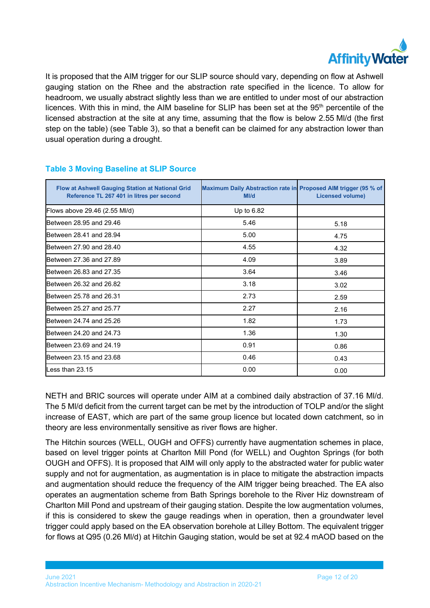

It is proposed that the AIM trigger for our SLIP source should vary, depending on flow at Ashwell gauging station on the Rhee and the abstraction rate specified in the licence. To allow for headroom, we usually abstract slightly less than we are entitled to under most of our abstraction licences. With this in mind, the AIM baseline for SLIP has been set at the  $95<sup>th</sup>$  percentile of the licensed abstraction at the site at any time, assuming that the flow is below 2.55 Ml/d (the first step on the table) (see [Table 3\)](#page-11-0), so that a benefit can be claimed for any abstraction lower than usual operation during a drought.

| <b>Flow at Ashwell Gauging Station at National Grid</b><br>Reference TL 267 401 in litres per second | Maximum Daily Abstraction rate in Proposed AIM trigger (95 % of<br>M/d | <b>Licensed volume)</b> |
|------------------------------------------------------------------------------------------------------|------------------------------------------------------------------------|-------------------------|
| Flows above 29.46 (2.55 Ml/d)                                                                        | Up to 6.82                                                             |                         |
| Between 28.95 and 29.46                                                                              | 5.46                                                                   | 5.18                    |
| Between 28.41 and 28.94                                                                              | 5.00                                                                   | 4.75                    |
| Between 27,90 and 28,40                                                                              | 4.55                                                                   | 4.32                    |
| Between 27,36 and 27,89                                                                              | 4.09                                                                   | 3.89                    |
| Between 26.83 and 27.35                                                                              | 3.64                                                                   | 3.46                    |
| Between 26.32 and 26.82                                                                              | 3.18                                                                   | 3.02                    |
| Between 25.78 and 26.31                                                                              | 2.73                                                                   | 2.59                    |
| Between 25.27 and 25.77                                                                              | 2.27                                                                   | 2.16                    |
| Between 24.74 and 25.26                                                                              | 1.82                                                                   | 1.73                    |
| <b>Between 24.20 and 24.73</b>                                                                       | 1.36                                                                   | 1.30                    |
| Between 23.69 and 24.19                                                                              | 0.91                                                                   | 0.86                    |
| Between 23.15 and 23.68                                                                              | 0.46                                                                   | 0.43                    |
| Less than 23.15                                                                                      | 0.00                                                                   | 0.00                    |

#### <span id="page-11-0"></span>**Table 3 Moving Baseline at SLIP Source**

NETH and BRIC sources will operate under AIM at a combined daily abstraction of 37.16 Ml/d. The 5 Ml/d deficit from the current target can be met by the introduction of TOLP and/or the slight increase of EAST, which are part of the same group licence but located down catchment, so in theory are less environmentally sensitive as river flows are higher.

The Hitchin sources (WELL, OUGH and OFFS) currently have augmentation schemes in place, based on level trigger points at Charlton Mill Pond (for WELL) and Oughton Springs (for both OUGH and OFFS). It is proposed that AIM will only apply to the abstracted water for public water supply and not for augmentation, as augmentation is in place to mitigate the abstraction impacts and augmentation should reduce the frequency of the AIM trigger being breached. The EA also operates an augmentation scheme from Bath Springs borehole to the River Hiz downstream of Charlton Mill Pond and upstream of their gauging station. Despite the low augmentation volumes, if this is considered to skew the gauge readings when in operation, then a groundwater level trigger could apply based on the EA observation borehole at Lilley Bottom. The equivalent trigger for flows at Q95 (0.26 Ml/d) at Hitchin Gauging station, would be set at 92.4 mAOD based on the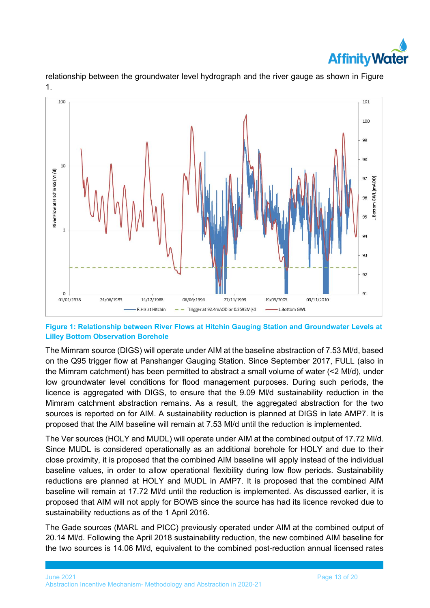

relationship between the groundwater level hydrograph and the river gauge as shown in [Figure](#page-12-0)  [1.](#page-12-0)



#### <span id="page-12-0"></span>**Figure 1: Relationship between River Flows at Hitchin Gauging Station and Groundwater Levels at Lilley Bottom Observation Borehole**

The Mimram source (DIGS) will operate under AIM at the baseline abstraction of 7.53 Ml/d, based on the Q95 trigger flow at Panshanger Gauging Station. Since September 2017, FULL (also in the Mimram catchment) has been permitted to abstract a small volume of water (<2 Ml/d), under low groundwater level conditions for flood management purposes. During such periods, the licence is aggregated with DIGS, to ensure that the 9.09 Ml/d sustainability reduction in the Mimram catchment abstraction remains. As a result, the aggregated abstraction for the two sources is reported on for AIM. A sustainability reduction is planned at DIGS in late AMP7. It is proposed that the AIM baseline will remain at 7.53 Ml/d until the reduction is implemented.

The Ver sources (HOLY and MUDL) will operate under AIM at the combined output of 17.72 Ml/d. Since MUDL is considered operationally as an additional borehole for HOLY and due to their close proximity, it is proposed that the combined AIM baseline will apply instead of the individual baseline values, in order to allow operational flexibility during low flow periods. Sustainability reductions are planned at HOLY and MUDL in AMP7. It is proposed that the combined AIM baseline will remain at 17.72 Ml/d until the reduction is implemented. As discussed earlier, it is proposed that AIM will not apply for BOWB since the source has had its licence revoked due to sustainability reductions as of the 1 April 2016.

The Gade sources (MARL and PICC) previously operated under AIM at the combined output of 20.14 Ml/d. Following the April 2018 sustainability reduction, the new combined AIM baseline for the two sources is 14.06 Ml/d, equivalent to the combined post-reduction annual licensed rates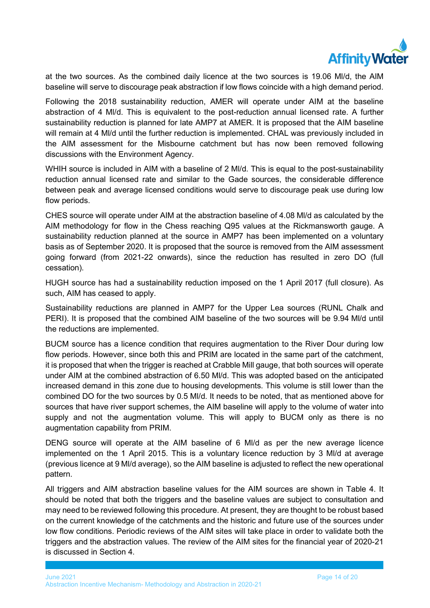

at the two sources. As the combined daily licence at the two sources is 19.06 Ml/d, the AIM baseline will serve to discourage peak abstraction if low flows coincide with a high demand period.

Following the 2018 sustainability reduction, AMER will operate under AIM at the baseline abstraction of 4 Ml/d. This is equivalent to the post-reduction annual licensed rate. A further sustainability reduction is planned for late AMP7 at AMER. It is proposed that the AIM baseline will remain at 4 Ml/d until the further reduction is implemented. CHAL was previously included in the AIM assessment for the Misbourne catchment but has now been removed following discussions with the Environment Agency.

WHIH source is included in AIM with a baseline of 2 MI/d. This is equal to the post-sustainability reduction annual licensed rate and similar to the Gade sources, the considerable difference between peak and average licensed conditions would serve to discourage peak use during low flow periods.

CHES source will operate under AIM at the abstraction baseline of 4.08 Ml/d as calculated by the AIM methodology for flow in the Chess reaching Q95 values at the Rickmansworth gauge. A sustainability reduction planned at the source in AMP7 has been implemented on a voluntary basis as of September 2020. It is proposed that the source is removed from the AIM assessment going forward (from 2021-22 onwards), since the reduction has resulted in zero DO (full cessation).

HUGH source has had a sustainability reduction imposed on the 1 April 2017 (full closure). As such, AIM has ceased to apply.

Sustainability reductions are planned in AMP7 for the Upper Lea sources (RUNL Chalk and PERI). It is proposed that the combined AIM baseline of the two sources will be 9.94 Ml/d until the reductions are implemented.

BUCM source has a licence condition that requires augmentation to the River Dour during low flow periods. However, since both this and PRIM are located in the same part of the catchment, it is proposed that when the trigger is reached at Crabble Mill gauge, that both sources will operate under AIM at the combined abstraction of 6.50 Ml/d. This was adopted based on the anticipated increased demand in this zone due to housing developments. This volume is still lower than the combined DO for the two sources by 0.5 Ml/d. It needs to be noted, that as mentioned above for sources that have river support schemes, the AIM baseline will apply to the volume of water into supply and not the augmentation volume. This will apply to BUCM only as there is no augmentation capability from PRIM.

DENG source will operate at the AIM baseline of 6 Ml/d as per the new average licence implemented on the 1 April 2015. This is a voluntary licence reduction by 3 Ml/d at average (previous licence at 9 Ml/d average), so the AIM baseline is adjusted to reflect the new operational pattern.

All triggers and AIM abstraction baseline values for the AIM sources are shown in [Table 4.](#page-14-0) It should be noted that both the triggers and the baseline values are subject to consultation and may need to be reviewed following this procedure. At present, they are thought to be robust based on the current knowledge of the catchments and the historic and future use of the sources under low flow conditions. Periodic reviews of the AIM sites will take place in order to validate both the triggers and the abstraction values. The review of the AIM sites for the financial year of 2020-21 is discussed in Section 4.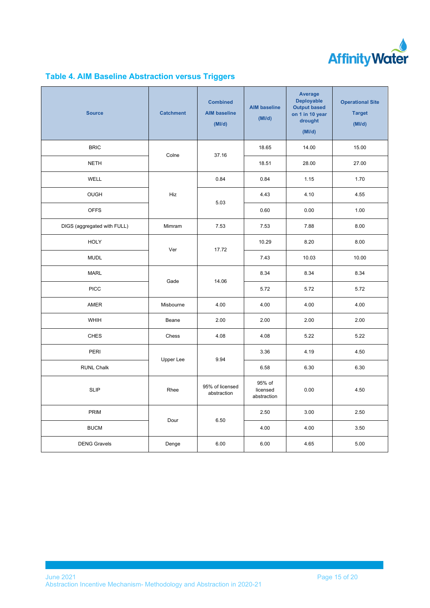

#### <span id="page-14-0"></span>**Table 4. AIM Baseline Abstraction versus Triggers**

| <b>Source</b>               | <b>Combined</b><br><b>Catchment</b><br><b>AIM baseline</b><br>(MI/d) |                                | <b>AIM baseline</b><br>(MI/d)     | Average<br><b>Deployable</b><br><b>Output based</b><br>on 1 in 10 year<br>drought<br>(MI/d) | <b>Operational Site</b><br><b>Target</b><br>(MI/d) |
|-----------------------------|----------------------------------------------------------------------|--------------------------------|-----------------------------------|---------------------------------------------------------------------------------------------|----------------------------------------------------|
| <b>BRIC</b>                 | Colne                                                                | 37.16                          | 18.65                             | 14.00                                                                                       | 15.00                                              |
| <b>NETH</b>                 |                                                                      |                                | 18.51                             | 28.00                                                                                       | 27.00                                              |
| <b>WELL</b>                 |                                                                      | 0.84                           | 0.84                              | 1.15                                                                                        | 1.70                                               |
| <b>OUGH</b>                 | Hiz                                                                  | 5.03                           | 4.43                              | 4.10                                                                                        | 4.55                                               |
| <b>OFFS</b>                 |                                                                      |                                | 0.60                              | 0.00                                                                                        | 1.00                                               |
| DIGS (aggregated with FULL) | Mimram                                                               | 7.53                           | 7.53                              | 7.88                                                                                        | 8.00                                               |
| <b>HOLY</b>                 | Ver                                                                  | 17.72                          | 10.29                             | 8.20                                                                                        | 8.00                                               |
| <b>MUDL</b>                 |                                                                      |                                | 7.43                              | 10.03                                                                                       | 10.00                                              |
| <b>MARL</b>                 | Gade                                                                 | 14.06                          | 8.34                              | 8.34                                                                                        | 8.34                                               |
| <b>PICC</b>                 |                                                                      |                                | 5.72                              | 5.72                                                                                        | 5.72                                               |
| <b>AMER</b>                 | Misbourne                                                            | 4.00                           | 4.00                              | 4.00                                                                                        | 4.00                                               |
| WHIH                        | Beane                                                                | 2.00                           | 2.00                              | 2.00                                                                                        | 2.00                                               |
| <b>CHES</b>                 | Chess                                                                | 4.08                           | 4.08                              | 5.22                                                                                        | 5.22                                               |
| PERI                        | Upper Lee                                                            | 9.94                           | 3.36                              | 4.19                                                                                        | 4.50                                               |
| <b>RUNL Chalk</b>           |                                                                      |                                | 6.58                              | 6.30                                                                                        | 6.30                                               |
| <b>SLIP</b>                 | Rhee                                                                 | 95% of licensed<br>abstraction | 95% of<br>licensed<br>abstraction | 0.00                                                                                        | 4.50                                               |
| PRIM                        |                                                                      |                                | 2.50                              | 3.00                                                                                        | 2.50                                               |
| <b>BUCM</b>                 | Dour                                                                 | 6.50                           | 4.00                              | 4.00                                                                                        | 3.50                                               |
| <b>DENG Gravels</b>         | Denge                                                                | 6.00                           | 6.00                              | 4.65                                                                                        | 5.00                                               |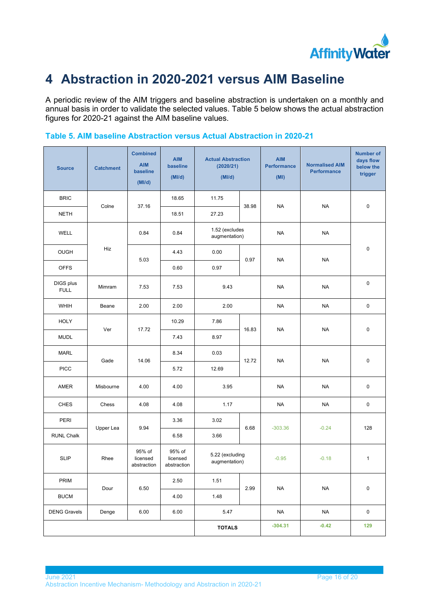

### <span id="page-15-0"></span>**4 Abstraction in 2020-2021 versus AIM Baseline**

A periodic review of the AIM triggers and baseline abstraction is undertaken on a monthly and annual basis in order to validate the selected values. [Table 5](#page-15-1) below shows the actual abstraction figures for 2020-21 against the AIM baseline values.

| <b>Source</b>            | <b>Catchment</b> | <b>Combined</b><br><b>AIM</b><br>baseline<br>(MI/d) | <b>AIM</b><br>baseline<br>(MI/d)  | <b>Actual Abstraction</b><br>(2020/21)<br>(MI/d) |       | <b>AIM</b><br><b>Performance</b><br>(MI) | <b>Normalised AIM</b><br><b>Performance</b> | <b>Number of</b><br>days flow<br>below the<br>trigger |
|--------------------------|------------------|-----------------------------------------------------|-----------------------------------|--------------------------------------------------|-------|------------------------------------------|---------------------------------------------|-------------------------------------------------------|
| <b>BRIC</b>              | Colne            | 37.16                                               | 18.65                             | 11.75                                            | 38.98 | <b>NA</b>                                | <b>NA</b>                                   | 0                                                     |
| <b>NETH</b>              |                  |                                                     | 18.51                             | 27.23                                            |       |                                          |                                             |                                                       |
| WELL                     |                  | 0.84                                                | 0.84                              | 1.52 (excludes<br>augmentation)                  |       | <b>NA</b>                                | <b>NA</b>                                   |                                                       |
| <b>OUGH</b>              | Hiz              |                                                     | 4.43                              | 0.00                                             | 0.97  |                                          | <b>NA</b>                                   | $\pmb{0}$                                             |
| <b>OFFS</b>              |                  | 5.03                                                | 0.60                              | 0.97                                             |       | <b>NA</b>                                |                                             |                                                       |
| DIGS plus<br><b>FULL</b> | Mimram           | 7.53                                                | 7.53                              | 9.43                                             |       | <b>NA</b>                                | <b>NA</b>                                   | $\pmb{0}$                                             |
| <b>WHIH</b>              | Beane            | 2.00                                                | 2.00                              | 2.00                                             |       | <b>NA</b>                                | <b>NA</b>                                   | $\mathbf 0$                                           |
| <b>HOLY</b>              | Ver              | 17.72                                               | 10.29                             | 7.86                                             | 16.83 | <b>NA</b>                                | <b>NA</b>                                   | $\pmb{0}$                                             |
| <b>MUDL</b>              |                  |                                                     | 7.43                              | 8.97                                             |       |                                          |                                             |                                                       |
| <b>MARL</b>              | Gade             | 14.06                                               | 8.34                              | 0.03                                             | 12.72 | <b>NA</b>                                | <b>NA</b>                                   | 0                                                     |
| <b>PICC</b>              |                  |                                                     | 5.72                              | 12.69                                            |       |                                          |                                             |                                                       |
| AMER                     | Misbourne        | 4.00                                                | 4.00                              | 3.95                                             |       | <b>NA</b>                                | <b>NA</b>                                   | 0                                                     |
| <b>CHES</b>              | Chess            | 4.08                                                | 4.08                              | 1.17                                             |       | <b>NA</b>                                | <b>NA</b>                                   | $\mathbf 0$                                           |
| PERI                     | Upper Lea        | 9.94                                                | 3.36                              | 3.02                                             | 6.68  | $-303.36$                                | $-0.24$                                     | 128                                                   |
| <b>RUNL Chalk</b>        |                  |                                                     | 6.58                              | 3.66                                             |       |                                          |                                             |                                                       |
| <b>SLIP</b>              | Rhee             | 95% of<br>licensed<br>abstraction                   | 95% of<br>licensed<br>abstraction | 5.22 (excluding<br>augmentation)                 |       | $-0.95$                                  | $-0.18$                                     | $\mathbf{1}$                                          |
| PRIM                     | Dour             | 6.50                                                | 2.50                              | 1.51                                             | 2.99  |                                          | $\sf NA$                                    |                                                       |
| <b>BUCM</b>              |                  |                                                     | 4.00                              | 1.48                                             |       | $\sf NA$                                 |                                             | $\pmb{0}$                                             |
| <b>DENG Gravels</b>      | Denge            | 6.00                                                | 6.00                              | 5.47                                             |       | <b>NA</b>                                | <b>NA</b>                                   | 0                                                     |
|                          |                  |                                                     |                                   | <b>TOTALS</b>                                    |       | $-304.31$                                | $-0.42$                                     | 129                                                   |

#### <span id="page-15-1"></span>**Table 5. AIM baseline Abstraction versus Actual Abstraction in 2020-21**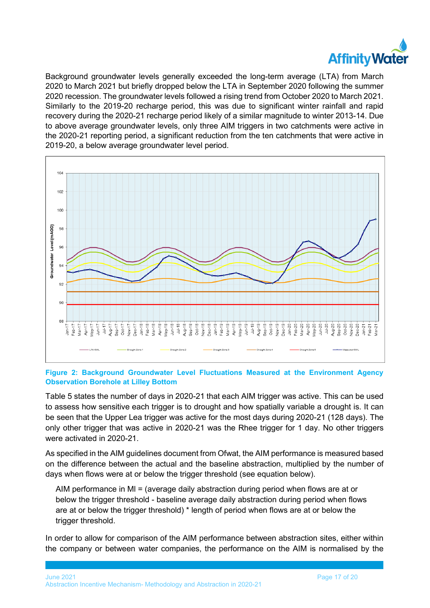

Background groundwater levels generally exceeded the long-term average (LTA) from March 2020 to March 2021 but briefly dropped below the LTA in September 2020 following the summer 2020 recession. The groundwater levels followed a rising trend from October 2020 to March 2021. Similarly to the 2019-20 recharge period, this was due to significant winter rainfall and rapid recovery during the 2020-21 recharge period likely of a similar magnitude to winter 2013-14. Due to above average groundwater levels, only three AIM triggers in two catchments were active in the 2020-21 reporting period, a significant reduction from the ten catchments that were active in 2019-20, a below average groundwater level period.



#### <span id="page-16-0"></span>**Figure 2: Background Groundwater Level Fluctuations Measured at the Environment Agency Observation Borehole at Lilley Bottom**

[Table 5](#page-15-1) states the number of days in 2020-21 that each AIM trigger was active. This can be used to assess how sensitive each trigger is to drought and how spatially variable a drought is. It can be seen that the Upper Lea trigger was active for the most days during 2020-21 (128 days). The only other trigger that was active in 2020-21 was the Rhee trigger for 1 day. No other triggers were activated in 2020-21.

As specified in the AIM guidelines document from Ofwat, the AIM performance is measured based on the difference between the actual and the baseline abstraction, multiplied by the number of days when flows were at or below the trigger threshold (see equation below).

AIM performance in Ml = (average daily abstraction during period when flows are at or below the trigger threshold - baseline average daily abstraction during period when flows are at or below the trigger threshold) \* length of period when flows are at or below the trigger threshold.

In order to allow for comparison of the AIM performance between abstraction sites, either within the company or between water companies, the performance on the AIM is normalised by the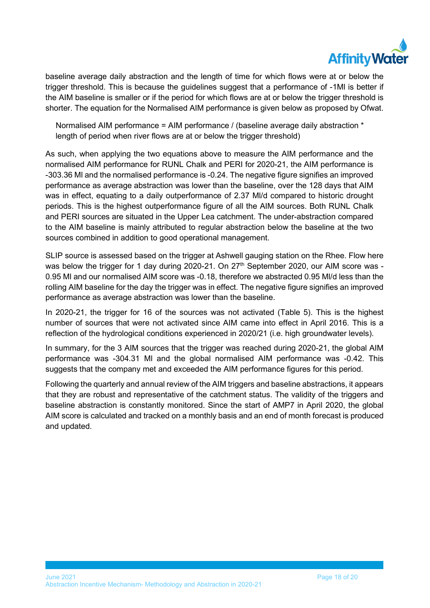

baseline average daily abstraction and the length of time for which flows were at or below the trigger threshold. This is because the guidelines suggest that a performance of -1Ml is better if the AIM baseline is smaller or if the period for which flows are at or below the trigger threshold is shorter. The equation for the Normalised AIM performance is given below as proposed by Ofwat.

Normalised AIM performance = AIM performance / (baseline average daily abstraction \* length of period when river flows are at or below the trigger threshold)

As such, when applying the two equations above to measure the AIM performance and the normalised AIM performance for RUNL Chalk and PERI for 2020-21, the AIM performance is -303.36 Ml and the normalised performance is -0.24. The negative figure signifies an improved performance as average abstraction was lower than the baseline, over the 128 days that AIM was in effect, equating to a daily outperformance of 2.37 Ml/d compared to historic drought periods. This is the highest outperformance figure of all the AIM sources. Both RUNL Chalk and PERI sources are situated in the Upper Lea catchment. The under-abstraction compared to the AIM baseline is mainly attributed to regular abstraction below the baseline at the two sources combined in addition to good operational management.

SLIP source is assessed based on the trigger at Ashwell gauging station on the Rhee. Flow here was below the trigger for 1 day during 2020-21. On 27<sup>th</sup> September 2020, our AIM score was -0.95 Ml and our normalised AIM score was -0.18, therefore we abstracted 0.95 Ml/d less than the rolling AIM baseline for the day the trigger was in effect. The negative figure signifies an improved performance as average abstraction was lower than the baseline.

In 2020-21, the trigger for 16 of the sources was not activated [\(Table 5\)](#page-15-1). This is the highest number of sources that were not activated since AIM came into effect in April 2016. This is a reflection of the hydrological conditions experienced in 2020/21 (i.e. high groundwater levels).

In summary, for the 3 AIM sources that the trigger was reached during 2020-21, the global AIM performance was -304.31 Ml and the global normalised AIM performance was -0.42. This suggests that the company met and exceeded the AIM performance figures for this period.

Following the quarterly and annual review of the AIM triggers and baseline abstractions, it appears that they are robust and representative of the catchment status. The validity of the triggers and baseline abstraction is constantly monitored. Since the start of AMP7 in April 2020, the global AIM score is calculated and tracked on a monthly basis and an end of month forecast is produced and updated.